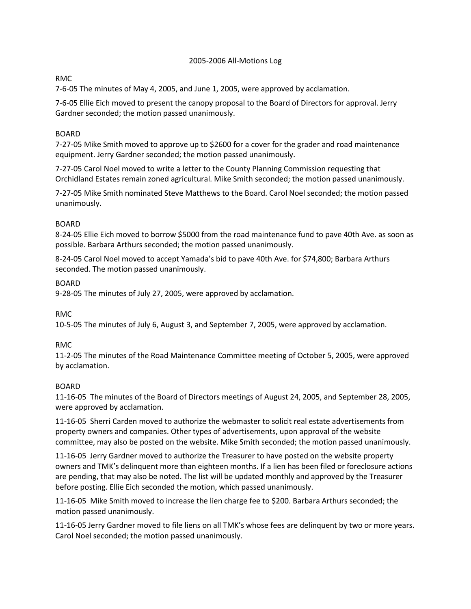### 2005-2006 All-Motions Log

# RMC

7-6-05 The minutes of May 4, 2005, and June 1, 2005, were approved by acclamation.

7-6-05 Ellie Eich moved to present the canopy proposal to the Board of Directors for approval. Jerry Gardner seconded; the motion passed unanimously.

## BOARD

7-27-05 Mike Smith moved to approve up to \$2600 for a cover for the grader and road maintenance equipment. Jerry Gardner seconded; the motion passed unanimously.

7-27-05 Carol Noel moved to write a letter to the County Planning Commission requesting that Orchidland Estates remain zoned agricultural. Mike Smith seconded; the motion passed unanimously.

7-27-05 Mike Smith nominated Steve Matthews to the Board. Carol Noel seconded; the motion passed unanimously.

## BOARD

8-24-05 Ellie Eich moved to borrow \$5000 from the road maintenance fund to pave 40th Ave. as soon as possible. Barbara Arthurs seconded; the motion passed unanimously.

8-24-05 Carol Noel moved to accept Yamada's bid to pave 40th Ave. for \$74,800; Barbara Arthurs seconded. The motion passed unanimously.

BOARD

9-28-05 The minutes of July 27, 2005, were approved by acclamation.

### RMC

10-5-05 The minutes of July 6, August 3, and September 7, 2005, were approved by acclamation.

### RMC

11-2-05 The minutes of the Road Maintenance Committee meeting of October 5, 2005, were approved by acclamation.

### BOARD

11-16-05 The minutes of the Board of Directors meetings of August 24, 2005, and September 28, 2005, were approved by acclamation.

11-16-05 Sherri Carden moved to authorize the webmaster to solicit real estate advertisements from property owners and companies. Other types of advertisements, upon approval of the website committee, may also be posted on the website. Mike Smith seconded; the motion passed unanimously.

11-16-05 Jerry Gardner moved to authorize the Treasurer to have posted on the website property owners and TMK's delinquent more than eighteen months. If a lien has been filed or foreclosure actions are pending, that may also be noted. The list will be updated monthly and approved by the Treasurer before posting. Ellie Eich seconded the motion, which passed unanimously.

11-16-05 Mike Smith moved to increase the lien charge fee to \$200. Barbara Arthurs seconded; the motion passed unanimously.

11-16-05 Jerry Gardner moved to file liens on all TMK's whose fees are delinquent by two or more years. Carol Noel seconded; the motion passed unanimously.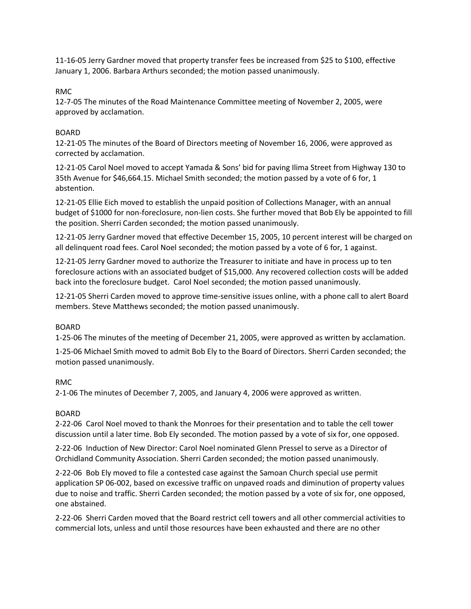11-16-05 Jerry Gardner moved that property transfer fees be increased from \$25 to \$100, effective January 1, 2006. Barbara Arthurs seconded; the motion passed unanimously.

## RMC

12-7-05 The minutes of the Road Maintenance Committee meeting of November 2, 2005, were approved by acclamation.

## BOARD

12-21-05 The minutes of the Board of Directors meeting of November 16, 2006, were approved as corrected by acclamation.

12-21-05 Carol Noel moved to accept Yamada & Sons' bid for paving Ilima Street from Highway 130 to 35th Avenue for \$46,664.15. Michael Smith seconded; the motion passed by a vote of 6 for, 1 abstention.

12-21-05 Ellie Eich moved to establish the unpaid position of Collections Manager, with an annual budget of \$1000 for non-foreclosure, non-lien costs. She further moved that Bob Ely be appointed to fill the position. Sherri Carden seconded; the motion passed unanimously.

12-21-05 Jerry Gardner moved that effective December 15, 2005, 10 percent interest will be charged on all delinquent road fees. Carol Noel seconded; the motion passed by a vote of 6 for, 1 against.

12-21-05 Jerry Gardner moved to authorize the Treasurer to initiate and have in process up to ten foreclosure actions with an associated budget of \$15,000. Any recovered collection costs will be added back into the foreclosure budget. Carol Noel seconded; the motion passed unanimously.

12-21-05 Sherri Carden moved to approve time-sensitive issues online, with a phone call to alert Board members. Steve Matthews seconded; the motion passed unanimously.

# BOARD

1-25-06 The minutes of the meeting of December 21, 2005, were approved as written by acclamation.

1-25-06 Michael Smith moved to admit Bob Ely to the Board of Directors. Sherri Carden seconded; the motion passed unanimously.

# RMC

2-1-06 The minutes of December 7, 2005, and January 4, 2006 were approved as written.

# BOARD

2-22-06 Carol Noel moved to thank the Monroes for their presentation and to table the cell tower discussion until a later time. Bob Ely seconded. The motion passed by a vote of six for, one opposed.

2-22-06 Induction of New Director: Carol Noel nominated Glenn Pressel to serve as a Director of Orchidland Community Association. Sherri Carden seconded; the motion passed unanimously.

2-22-06 Bob Ely moved to file a contested case against the Samoan Church special use permit application SP 06-002, based on excessive traffic on unpaved roads and diminution of property values due to noise and traffic. Sherri Carden seconded; the motion passed by a vote of six for, one opposed, one abstained.

2-22-06 Sherri Carden moved that the Board restrict cell towers and all other commercial activities to commercial lots, unless and until those resources have been exhausted and there are no other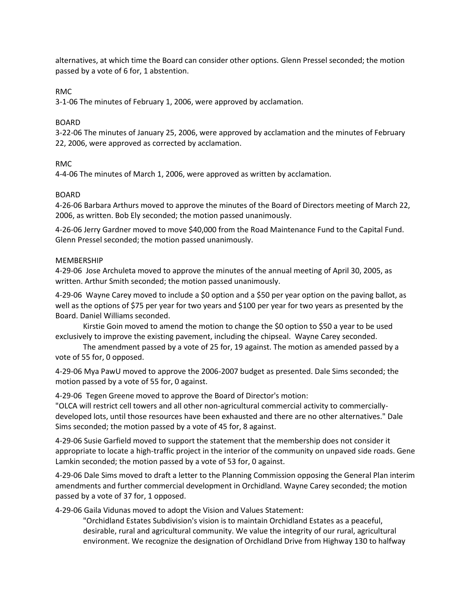alternatives, at which time the Board can consider other options. Glenn Pressel seconded; the motion passed by a vote of 6 for, 1 abstention.

RMC

3-1-06 The minutes of February 1, 2006, were approved by acclamation.

### BOARD

3-22-06 The minutes of January 25, 2006, were approved by acclamation and the minutes of February 22, 2006, were approved as corrected by acclamation.

### RMC

4-4-06 The minutes of March 1, 2006, were approved as written by acclamation.

### BOARD

4-26-06 Barbara Arthurs moved to approve the minutes of the Board of Directors meeting of March 22, 2006, as written. Bob Ely seconded; the motion passed unanimously.

4-26-06 Jerry Gardner moved to move \$40,000 from the Road Maintenance Fund to the Capital Fund. Glenn Pressel seconded; the motion passed unanimously.

### MEMBERSHIP

4-29-06 Jose Archuleta moved to approve the minutes of the annual meeting of April 30, 2005, as written. Arthur Smith seconded; the motion passed unanimously.

4-29-06 Wayne Carey moved to include a \$0 option and a \$50 per year option on the paving ballot, as well as the options of \$75 per year for two years and \$100 per year for two years as presented by the Board. Daniel Williams seconded.

Kirstie Goin moved to amend the motion to change the \$0 option to \$50 a year to be used exclusively to improve the existing pavement, including the chipseal. Wayne Carey seconded.

The amendment passed by a vote of 25 for, 19 against. The motion as amended passed by a vote of 55 for, 0 opposed.

4-29-06 Mya PawU moved to approve the 2006-2007 budget as presented. Dale Sims seconded; the motion passed by a vote of 55 for, 0 against.

4-29-06 Tegen Greene moved to approve the Board of Director's motion:

"OLCA will restrict cell towers and all other non-agricultural commercial activity to commerciallydeveloped lots, until those resources have been exhausted and there are no other alternatives." Dale Sims seconded; the motion passed by a vote of 45 for, 8 against.

4-29-06 Susie Garfield moved to support the statement that the membership does not consider it appropriate to locate a high-traffic project in the interior of the community on unpaved side roads. Gene Lamkin seconded; the motion passed by a vote of 53 for, 0 against.

4-29-06 Dale Sims moved to draft a letter to the Planning Commission opposing the General Plan interim amendments and further commercial development in Orchidland. Wayne Carey seconded; the motion passed by a vote of 37 for, 1 opposed.

4-29-06 Gaila Vidunas moved to adopt the Vision and Values Statement:

"Orchidland Estates Subdivision's vision is to maintain Orchidland Estates as a peaceful, desirable, rural and agricultural community. We value the integrity of our rural, agricultural environment. We recognize the designation of Orchidland Drive from Highway 130 to halfway